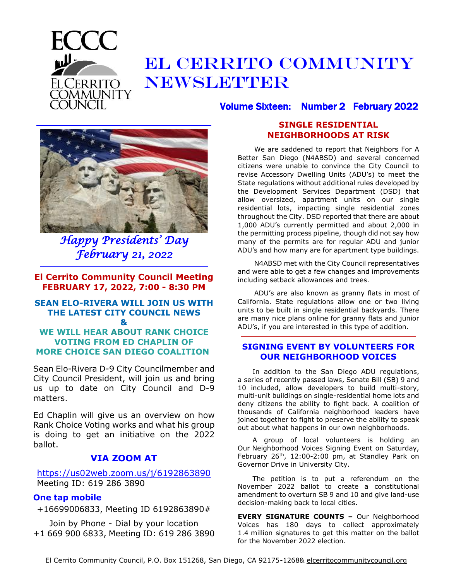

## EL CERRITO COMMUNITY NEWSLETTER

**\_\_\_\_\_\_\_\_\_\_\_\_\_\_\_\_\_\_\_\_\_\_\_\_\_\_\_\_\_\_\_\_\_\_\_\_\_\_\_\_\_\_\_\_\_\_\_\_**

*Happy Presidents' Day February 21, 2022* 

**El Cerrito Community Council Meeting FEBRUARY 17, 2022, 7:00 - 8:30 PM**

**\_\_\_\_\_\_\_\_\_\_\_\_\_\_\_\_\_\_\_\_\_\_\_\_\_\_\_\_\_\_\_\_\_\_\_\_\_\_\_\_\_\_\_\_\_\_**

#### **SEAN ELO-RIVERA WILL JOIN US WITH THE LATEST CITY COUNCIL NEWS &**

#### **WE WILL HEAR ABOUT RANK CHOICE VOTING FROM ED CHAPLIN OF MORE CHOICE SAN DIEGO COALITION**

Sean Elo-Rivera D-9 City Councilmember and City Council President, will join us and bring us up to date on City Council and D-9 matters.

Ed Chaplin will give us an overview on how Rank Choice Voting works and what his group is doing to get an initiative on the 2022 ballot.

### **VIA ZOOM AT**

<https://us02web.zoom.us/j/6192863890> Meeting ID: 619 286 3890

#### **One tap mobile**

+16699006833, Meeting ID 6192863890#

Join by Phone - Dial by your location +1 669 900 6833, Meeting ID: 619 286 3890

### **SINGLE RESIDENTIAL NEIGHBORHOODS AT RISK**

Volume Sixteen: Number 2 February 2022

We are saddened to report that Neighbors For A Better San Diego (N4ABSD) and several concerned citizens were unable to convince the City Council to revise Accessory Dwelling Units (ADU's) to meet the State regulations without additional rules developed by the Development Services Department (DSD) that allow oversized, apartment units on our single residential lots, impacting single residential zones throughout the City. DSD reported that there are about 1,000 ADU's currently permitted and about 2,000 in the permitting process pipeline, though did not say how many of the permits are for regular ADU and junior ADU's and how many are for apartment type buildings.

N4ABSD met with the City Council representatives and were able to get a few changes and improvements including setback allowances and trees.

ADU's are also known as granny flats in most of California. State regulations allow one or two living units to be built in single residential backyards. There are many nice plans online for granny flats and junior ADU's, if you are interested in this type of addition.

#### **SIGNING EVENT BY VOLUNTEERS FOR OUR NEIGHBORHOOD VOICES**

**\_\_\_\_\_\_\_\_\_\_\_\_\_\_\_\_\_\_\_\_\_\_\_\_\_\_\_\_\_\_\_\_\_\_\_\_\_\_\_\_\_\_\_\_\_\_\_\_**

In addition to the San Diego ADU regulations, a series of recently passed laws, Senate Bill (SB) 9 and 10 included, allow developers to build multi-story, multi-unit buildings on single-residential home lots and deny citizens the ability to fight back. A coalition of thousands of California neighborhood leaders have joined together to fight to preserve the ability to speak out about what happens in our own neighborhoods.

A group of local volunteers is holding an Our Neighborhood Voices Signing Event on Saturday, February  $26<sup>th</sup>$ , 12:00-2:00 pm, at Standley Park on Governor Drive in University City.

The petition is to put a referendum on the November 2022 ballot to create a constitutional amendment to overturn SB 9 and 10 and give land-use decision-making back to local cities.

**EVERY SIGNATURE COUNTS –** Our Neighborhood Voices has 180 days to collect approximately 1.4 million signatures to get this matter on the ballot for the November 2022 election.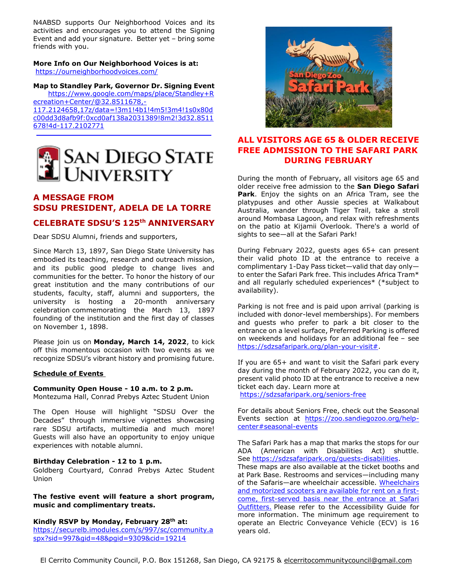N4ABSD supports Our Neighborhood Voices and its activities and encourages you to attend the Signing Event and add your signature. Better yet – bring some friends with you.

#### **More Info on Our Neighborhood Voices is at:** <https://ourneighborhoodvoices.com/>

**Map to Standley Park, Governor Dr. Signing Event** [https://www.google.com/maps/place/Standley+R](https://www.google.com/maps/place/Standley+Recreation+Center/@32.8511678,-117.2124658,17z/data=!3m1!4b1!4m5!3m4!1s0x80dc00dd3d8afb9f:0xcd0af138a2031389!8m2!3d32.8511678!4d-117.2102771) [ecreation+Center/@32.8511678,-](https://www.google.com/maps/place/Standley+Recreation+Center/@32.8511678,-117.2124658,17z/data=!3m1!4b1!4m5!3m4!1s0x80dc00dd3d8afb9f:0xcd0af138a2031389!8m2!3d32.8511678!4d-117.2102771) [117.2124658,17z/data=!3m1!4b1!4m5!3m4!1s0x80d](https://www.google.com/maps/place/Standley+Recreation+Center/@32.8511678,-117.2124658,17z/data=!3m1!4b1!4m5!3m4!1s0x80dc00dd3d8afb9f:0xcd0af138a2031389!8m2!3d32.8511678!4d-117.2102771)

[c00dd3d8afb9f:0xcd0af138a2031389!8m2!3d32.8511](https://www.google.com/maps/place/Standley+Recreation+Center/@32.8511678,-117.2124658,17z/data=!3m1!4b1!4m5!3m4!1s0x80dc00dd3d8afb9f:0xcd0af138a2031389!8m2!3d32.8511678!4d-117.2102771) [678!4d-117.2102771](https://www.google.com/maps/place/Standley+Recreation+Center/@32.8511678,-117.2124658,17z/data=!3m1!4b1!4m5!3m4!1s0x80dc00dd3d8afb9f:0xcd0af138a2031389!8m2!3d32.8511678!4d-117.2102771) **\_\_\_\_\_\_\_\_\_\_\_\_\_\_\_\_\_\_\_\_\_\_\_\_\_\_\_\_\_\_\_\_\_\_\_\_\_\_\_\_\_\_\_\_\_\_\_\_**



#### **A MESSAGE FROM SDSU PRESIDENT, ADELA DE LA TORRE**

#### **CELEBRATE SDSU'S 125th ANNIVERSARY**

Dear SDSU Alumni, friends and supporters,

Since March 13, 1897, San Diego State University has embodied its teaching, research and outreach mission, and its public good pledge to change lives and communities for the better. To honor the history of our great institution and the many contributions of our students, faculty, staff, alumni and supporters, the university is hosting a 20-month anniversary celebration commemorating the March 13, 1897 founding of the institution and the first day of classes on November 1, 1898.

Please join us on **Monday, March 14, 2022**, to kick off this momentous occasion with two events as we recognize SDSU's vibrant history and promising future.

#### **Schedule of Events**

#### **Community Open House - 10 a.m. to 2 p.m.**

Montezuma Hall, Conrad Prebys Aztec Student Union

The Open House will highlight "SDSU Over the Decades" through immersive vignettes showcasing rare SDSU artifacts, multimedia and much more! Guests will also have an opportunity to enjoy unique experiences with notable alumni.

#### **Birthday Celebration - 12 to 1 p.m.**

Goldberg Courtyard, Conrad Prebys Aztec Student Union

#### **The festive event will feature a short program, music and complimentary treats.**

#### **Kindly RSVP by Monday, February 28th at:**

[https://securelb.imodules.com/s/997/sc/community.a](https://securelb.imodules.com/s/997/sc/community.aspx?sid=997&gid=48&pgid=9309&cid=19214) [spx?sid=997&gid=48&pgid=9309&cid=19214](https://securelb.imodules.com/s/997/sc/community.aspx?sid=997&gid=48&pgid=9309&cid=19214)



#### **ALL VISITORS AGE 65 & OLDER RECEIVE FREE ADMISSION TO THE SAFARI PARK DURING FEBRUARY**

During the month of February, all visitors age 65 and older receive free admission to the **San Diego Safari Park**. Enjoy the sights on an Africa Tram, see the platypuses and other Aussie species at Walkabout Australia, wander through Tiger Trail, take a stroll around Mombasa Lagoon, and relax with refreshments on the patio at Kijamii Overlook. There's a world of sights to see—all at the Safari Park!

During February 2022, guests ages 65+ can present their valid photo ID at the entrance to receive a complimentary 1-Day Pass ticket—valid that day only to enter the Safari Park free. This includes Africa Tram\* and all regularly scheduled experiences\* (\*subject to availability).

Parking is not free and is paid upon arrival (parking is included with donor-level memberships). For members and guests who prefer to park a bit closer to the entrance on a level surface, Preferred Parking is offered on weekends and holidays for an additional fee – see [https://sdzsafaripark.org/plan-your-visit#.](https://sdzsafaripark.org/plan-your-visit)

If you are 65+ and want to visit the Safari park every day during the month of February 2022, you can do it, present valid photo ID at the entrance to receive a new ticket each day. Learn more at

<https://sdzsafaripark.org/seniors-free>

For details about Seniors Free, check out the Seasonal Events section at [https://zoo.sandiegozoo.org/help](https://zoo.sandiegozoo.org/help-center#seasonal-events)[center#seasonal-events](https://zoo.sandiegozoo.org/help-center#seasonal-events)

The Safari Park has a map that marks the stops for our ADA (American with Disabilities Act) shuttle. See [https://sdzsafaripark.org/guests-disabilities.](https://sdzsafaripark.org/guests-disabilities) These maps are also available at the ticket booths and at Park Base. Restrooms and services—including many of the Safaris-are wheelchair accessible. Wheelchairs [and motorized scooters are available for rent on a first](https://sdzsafaripark.org/guest-services)[come, first-served basis near the entrance at Safari](https://sdzsafaripark.org/guest-services)  [Outfitters.](https://sdzsafaripark.org/guest-services) Please refer to the Accessibility Guide for more information. The minimum age requirement to operate an Electric Conveyance Vehicle (ECV) is 16 years old.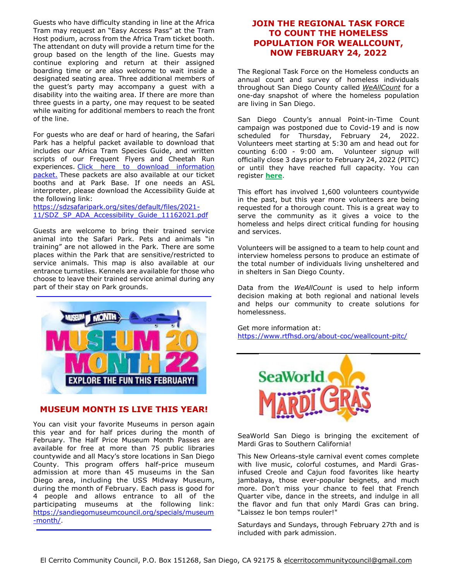Guests who have difficulty standing in line at the Africa Tram may request an "Easy Access Pass" at the Tram Host podium, across from the Africa Tram ticket booth. The attendant on duty will provide a return time for the group based on the length of the line. Guests may continue exploring and return at their assigned boarding time or are also welcome to wait inside a designated seating area. Three additional members of the guest's party may accompany a guest with a disability into the waiting area. If there are more than three guests in a party, one may request to be seated while waiting for additional members to reach the front of the line.

For guests who are deaf or hard of hearing, the Safari Park has a helpful packet available to download that includes our Africa Tram Species Guide, and written scripts of our Frequent Flyers and Cheetah Run experiences. Click here to download information [packet.](https://sdzsafaripark.org/sites/default/files/2020-11/disabilities_hearing_packet-c_0.pdf) These packets are also available at our ticket booths and at Park Base. If one needs an ASL interpreter, please download the Accessibility Guide at the following link:

[https://sdzsafaripark.org/sites/default/files/2021-](https://sdzsafaripark.org/sites/default/files/2021-11/SDZ_SP_ADA_Accessibility_Guide_11162021.pdf) [11/SDZ\\_SP\\_ADA\\_Accessibility\\_Guide\\_11162021.pdf](https://sdzsafaripark.org/sites/default/files/2021-11/SDZ_SP_ADA_Accessibility_Guide_11162021.pdf)

Guests are welcome to bring their trained service animal into the Safari Park. Pets and animals "in training" are not allowed in the Park. There are some places within the Park that are sensitive/restricted to service animals. This map is also available at our entrance turnstiles. Kennels are available for those who choose to leave their trained service animal during any part of their stay on Park grounds.



#### **MUSEUM MONTH IS LIVE THIS YEAR!**

You can visit your favorite Museums in person again this year and for half prices during the month of February. The Half Price Museum Month Passes are available for free at more than 75 public libraries countywide and all Macy's store locations in San Diego County. This program offers half-price museum admission at more than 45 museums in the San Diego area, including the USS Midway Museum, during the month of February. Each pass is good for 4 people and allows entrance to all of the participating museums at the following link: [https://sandiegomuseumcouncil.org/specials/museum](https://sandiegomuseumcouncil.org/specials/museum-month/) [-month/.](https://sandiegomuseumcouncil.org/specials/museum-month/)

**\_\_\_\_\_\_\_\_\_\_\_\_\_\_\_\_\_\_\_\_\_\_\_\_\_\_\_\_\_\_\_\_\_\_\_\_\_\_\_\_\_\_\_\_\_\_\_\_**

#### **JOIN THE REGIONAL TASK FORCE TO COUNT THE HOMELESS POPULATION FOR WEALLCOUNT, NOW FEBRUARY 24, 2022**

The Regional Task Force on the Homeless conducts an annual count and survey of homeless individuals throughout San Diego County called *[WeAllCount](https://www.facebook.com/events/105739766570876/)* for a [one-day snapshot of where the homeless population](https://www.facebook.com/events/105739766570876/) [are living in San Diego.](https://www.facebook.com/events/105739766570876/)

San Diego County's annual Point-in-Time Count campaign was postponed due to Covid-19 and is now scheduled for Thursday, February 24, 2022. Volunteers meet starting at 5:30 am and head out for counting 6:00 - 9:00 am. Volunteer signup will officially close 3 days prior to February 24, 2022 (PITC) or until they have reached full capacity. You can register **[here](https://bitfocus.typeform.com/weallcount)**.

This effort has involved 1,600 volunteers countywide in the past, but this year more volunteers are being requested for a thorough count. This is a great way to serve the community as it gives a voice to the homeless and helps direct critical funding for housing and services.

Volunteers will be assigned to a team to help count and interview homeless persons to produce an estimate of the total number of individuals living unsheltered and in shelters in San Diego County.

Data from the *WeAllCount* is used to help inform decision making at both regional and national levels and helps our community to create solutions for homelessness.

Get more information at: <https://www.rtfhsd.org/about-coc/weallcount-pitc/>



SeaWorld San Diego is bringing the excitement of Mardi Gras to Southern California!

This New Orleans-style carnival event comes complete with live music, colorful costumes, and Mardi Grasinfused Creole and Cajun food favorites like hearty jambalaya, those ever-popular beignets, and much more. Don't miss your chance to feel that French Quarter vibe, dance in the streets, and indulge in all the flavor and fun that only Mardi Gras can bring. "Laissez le bon temps rouler!"

Saturdays and Sundays, through February 27th and is included with park admission.